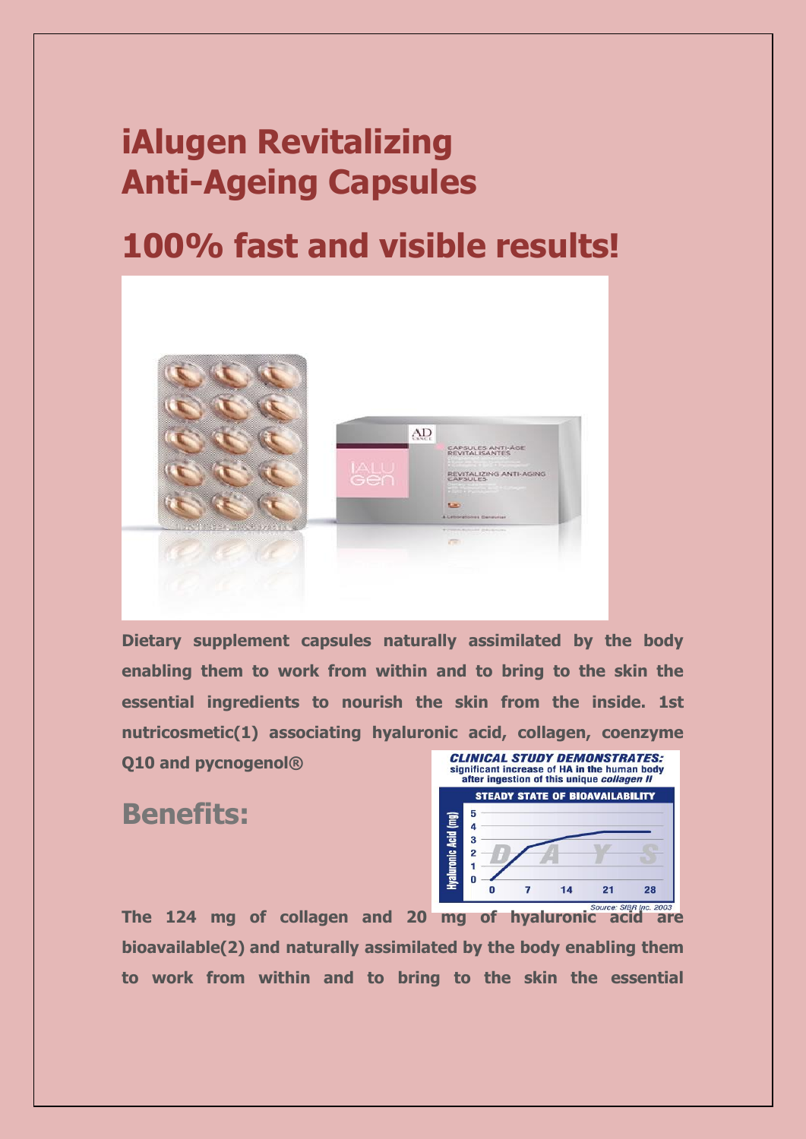# **iAlugen Revitalizing Anti-Ageing Capsules**

## **100% fast and visible results!**



**Dietary supplement capsules naturally assimilated by the body enabling them to work from within and to bring to the skin the essential ingredients to nourish the skin from the inside. 1st nutricosmetic(1) associating hyaluronic acid, collagen, coenzyme** 

**Q10 and pycnogenol®**

#### **Benefits:**



**The 124 mg of collagen and 20 mg of hyaluronic acid are bioavailable(2) and naturally assimilated by the body enabling them to work from within and to bring to the skin the essential**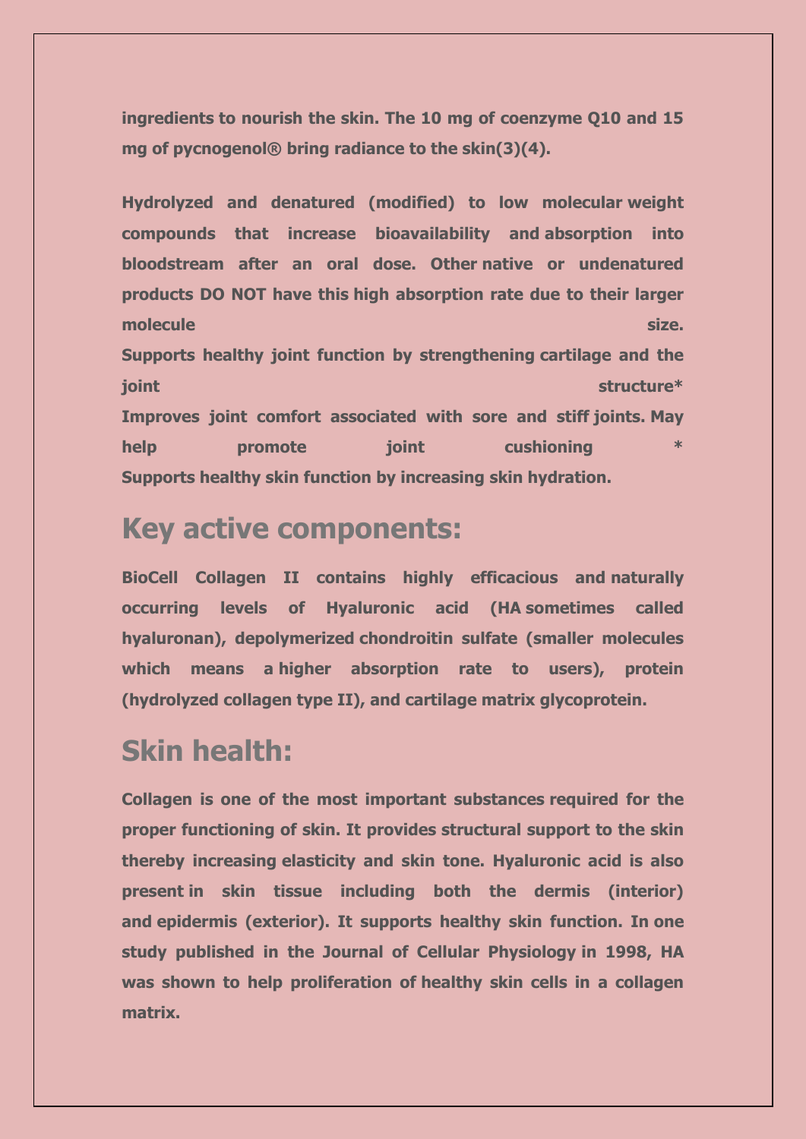**ingredients to nourish the skin. The 10 mg of coenzyme Q10 and 15 mg of pycnogenol® bring radiance to the skin(3)(4).**

**Hydrolyzed and denatured (modified) to low molecular weight compounds that increase bioavailability and absorption into bloodstream after an oral dose. Other native or undenatured products DO NOT have this high absorption rate due to their larger molecule** size. **Size. Supports healthy joint function by strengthening cartilage and the**  *joint* structure\* **structure**\* **Improves joint comfort associated with sore and stiff joints. May help promote** *promote promote promote promote promote promote promote promote promote promote promote promote promote promote promote promote promote* **Supports healthy skin function by increasing skin hydration.**

### **Key active components:**

**BioCell Collagen II contains highly efficacious and naturally occurring levels of Hyaluronic acid (HA sometimes called hyaluronan), depolymerized chondroitin sulfate (smaller molecules which means a higher absorption rate to users), protein (hydrolyzed collagen type II), and cartilage matrix glycoprotein.**

### **Skin health:**

**Collagen is one of the most important substances required for the proper functioning of skin. It provides structural support to the skin thereby increasing elasticity and skin tone. Hyaluronic acid is also present in skin tissue including both the dermis (interior) and epidermis (exterior). It supports healthy skin function. In one study published in the Journal of Cellular Physiology in 1998, HA was shown to help proliferation of healthy skin cells in a collagen matrix.**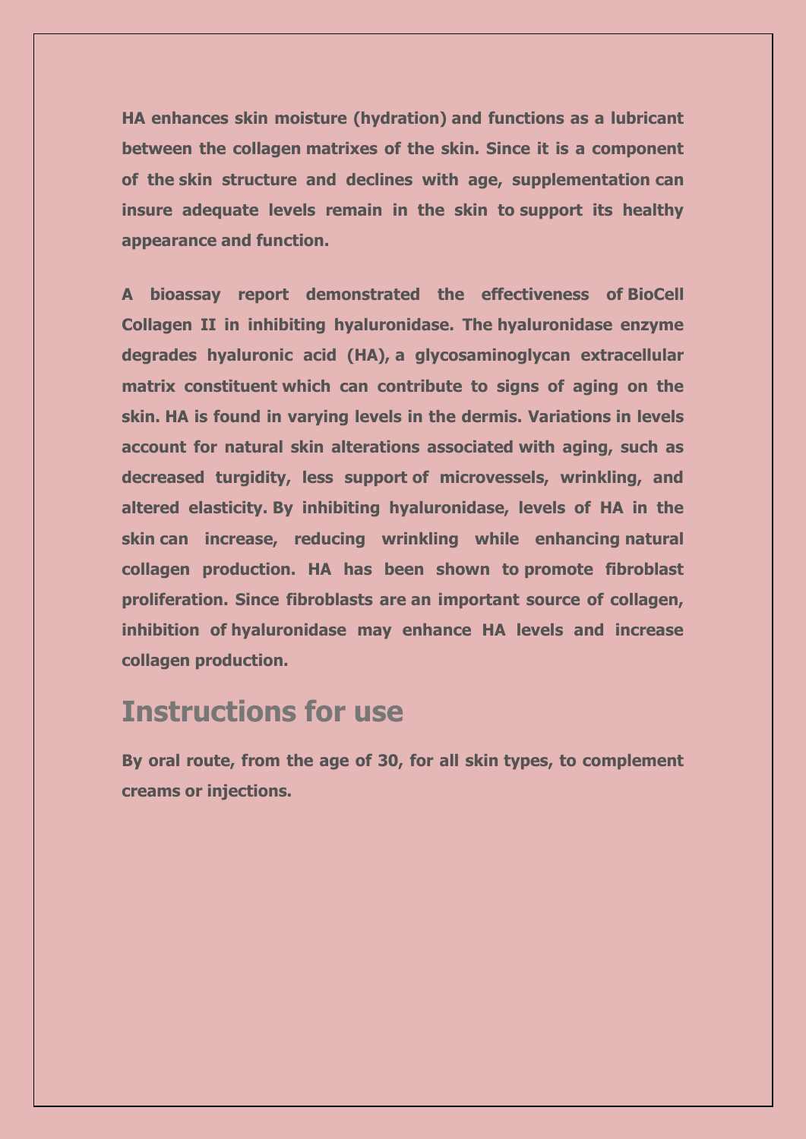**HA enhances skin moisture (hydration) and functions as a lubricant between the collagen matrixes of the skin. Since it is a component of the skin structure and declines with age, supplementation can insure adequate levels remain in the skin to support its healthy appearance and function.**

**A bioassay report demonstrated the effectiveness of BioCell Collagen II in inhibiting hyaluronidase. The hyaluronidase enzyme degrades hyaluronic acid (HA), a glycosaminoglycan extracellular matrix constituent which can contribute to signs of aging on the skin. HA is found in varying levels in the dermis. Variations in levels account for natural skin alterations associated with aging, such as decreased turgidity, less support of microvessels, wrinkling, and altered elasticity. By inhibiting hyaluronidase, levels of HA in the skin can increase, reducing wrinkling while enhancing natural collagen production. HA has been shown to promote fibroblast proliferation. Since fibroblasts are an important source of collagen, inhibition of hyaluronidase may enhance HA levels and increase collagen production.**

### **Instructions for use**

**By oral route, from the age of 30, for all skin types, to complement creams or injections.**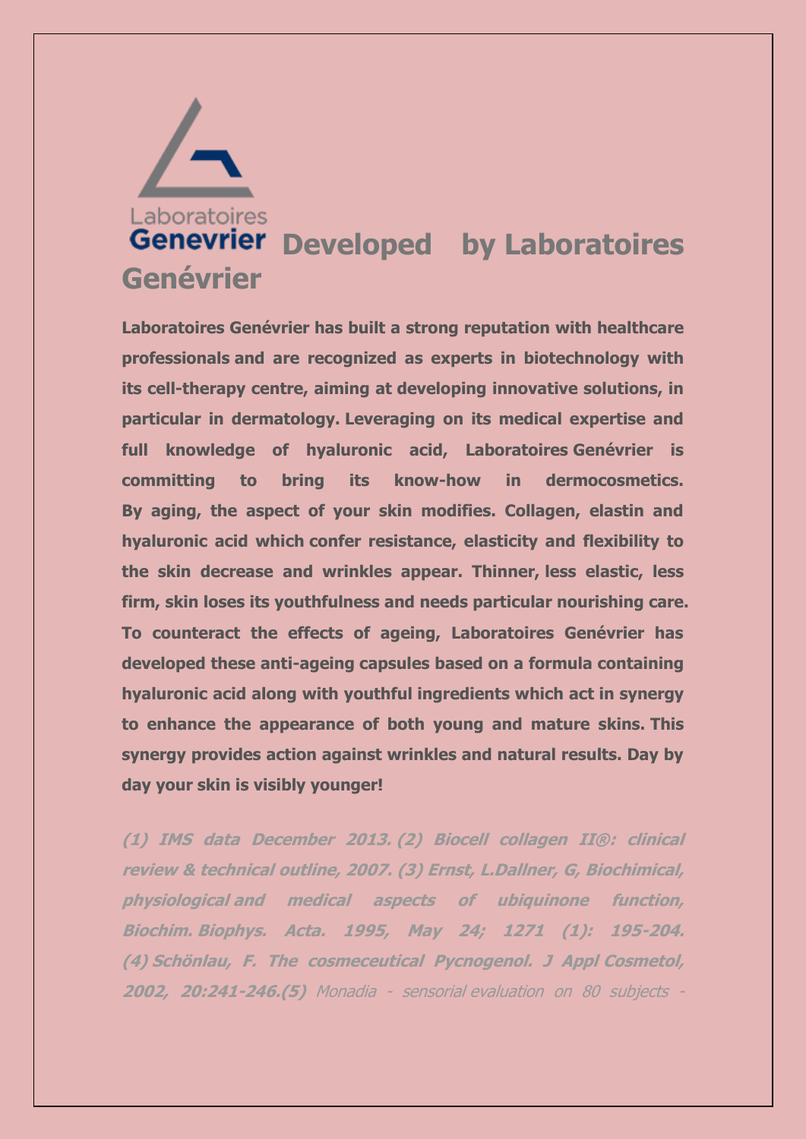

**Laboratoires Genévrier has built a strong reputation with healthcare professionals and are recognized as experts in biotechnology with its cell-therapy centre, aiming at developing innovative solutions, in particular in dermatology. Leveraging on its medical expertise and full knowledge of hyaluronic acid, Laboratoires Genévrier is committing to bring its know-how in dermocosmetics. By aging, the aspect of your skin modifies. Collagen, elastin and hyaluronic acid which confer resistance, elasticity and flexibility to the skin decrease and wrinkles appear. Thinner, less elastic, less firm, skin loses its youthfulness and needs particular nourishing care. To counteract the effects of ageing, Laboratoires Genévrier has developed these anti-ageing capsules based on a formula containing hyaluronic acid along with youthful ingredients which act in synergy to enhance the appearance of both young and mature skins. This synergy provides action against wrinkles and natural results. Day by day your skin is visibly younger!**

**(1) IMS data December 2013. (2) Biocell collagen II®: clinical review & technical outline, 2007. (3) Ernst, L.Dallner, G, Biochimical, physiological and medical aspects of ubiquinone function, Biochim. Biophys. Acta. 1995, May 24; 1271 (1): 195-204. (4) Schönlau, F. The cosmeceutical Pycnogenol. J Appl Cosmetol, 2002, 20:241-246.(5)** Monadia - sensorial evaluation on 80 subjects -